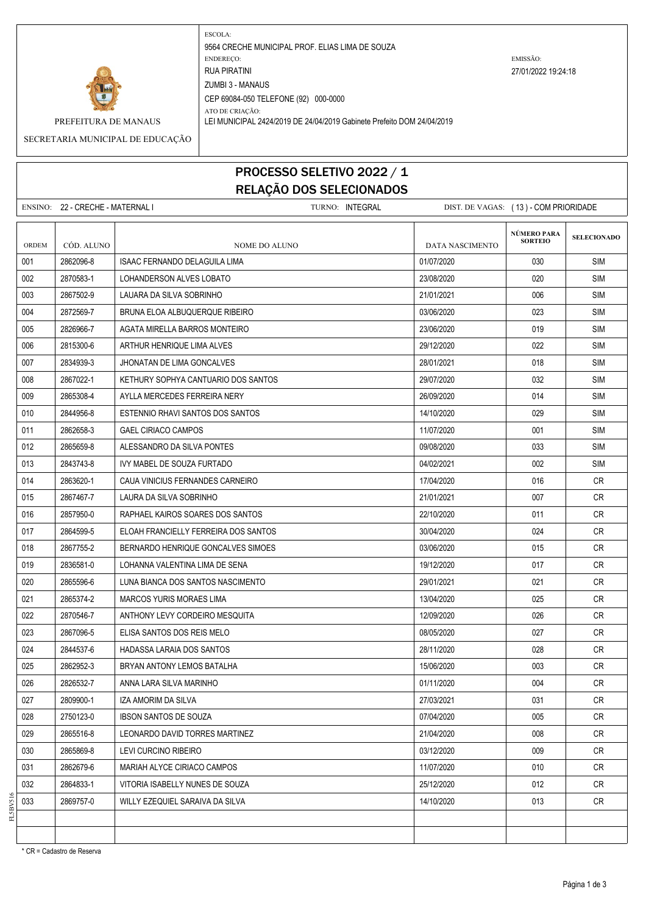

ESCOLA: 9564 CRECHE MUNICIPAL PROF. ELIAS LIMA DE SOUZA ENDEREÇO: EMISSÃO: RUA PIRATINI 27/01/2022 19:24:18 ZUMBI 3 - MANAUS CEP 69084-050 TELEFONE (92) 000-0000

ATO DE CRIAÇÃO: PREFEITURA DE MANAUS LEI MUNICIPAL 2424/2019 DE 24/04/2019 Gabinete Prefeito DOM 24/04/2019

SECRETARIA MUNICIPAL DE EDUCAÇÃO

## PROCESSO SELETIVO 2022 / 1 RELAÇÃO DOS SELECIONADOS

|              | ENSINO: 22 - CRECHE - MATERNAL I | TURNO: INTEGRAL                      | DIST. DE VAGAS: (13) - COM PRIORIDADE |                                      |                    |
|--------------|----------------------------------|--------------------------------------|---------------------------------------|--------------------------------------|--------------------|
| <b>ORDEM</b> | CÓD. ALUNO                       | NOME DO ALUNO                        | DATA NASCIMENTO                       | <b>NÚMERO PARA</b><br><b>SORTEIO</b> | <b>SELECIONADO</b> |
| 001          | 2862096-8                        | <b>ISAAC FERNANDO DELAGUILA LIMA</b> | 01/07/2020                            | 030                                  | <b>SIM</b>         |
| 002          | 2870583-1                        | LOHANDERSON ALVES LOBATO             | 23/08/2020                            | 020                                  | <b>SIM</b>         |
| 003          | 2867502-9                        | LAUARA DA SILVA SOBRINHO             | 21/01/2021                            | 006                                  | <b>SIM</b>         |
| 004          | 2872569-7                        | BRUNA ELOA ALBUQUERQUE RIBEIRO       | 03/06/2020                            | 023                                  | <b>SIM</b>         |
| 005          | 2826966-7                        | AGATA MIRELLA BARROS MONTEIRO        | 23/06/2020                            | 019                                  | <b>SIM</b>         |
| 006          | 2815300-6                        | ARTHUR HENRIQUE LIMA ALVES           | 29/12/2020                            | 022                                  | <b>SIM</b>         |
| 007          | 2834939-3                        | JHONATAN DE LIMA GONCALVES           | 28/01/2021                            | 018                                  | <b>SIM</b>         |
| 008          | 2867022-1                        | KETHURY SOPHYA CANTUARIO DOS SANTOS  | 29/07/2020                            | 032                                  | <b>SIM</b>         |
| 009          | 2865308-4                        | AYLLA MERCEDES FERREIRA NERY         | 26/09/2020                            | 014                                  | <b>SIM</b>         |
| 010          | 2844956-8                        | ESTENNIO RHAVI SANTOS DOS SANTOS     | 14/10/2020                            | 029                                  | <b>SIM</b>         |
| 011          | 2862658-3                        | <b>GAEL CIRIACO CAMPOS</b>           | 11/07/2020                            | 001                                  | <b>SIM</b>         |
| 012          | 2865659-8                        | ALESSANDRO DA SILVA PONTES           | 09/08/2020                            | 033                                  | <b>SIM</b>         |
| 013          | 2843743-8                        | IVY MABEL DE SOUZA FURTADO           | 04/02/2021                            | 002                                  | <b>SIM</b>         |
| 014          | 2863620-1                        | CAUA VINICIUS FERNANDES CARNEIRO     | 17/04/2020                            | 016                                  | CR                 |
| 015          | 2867467-7                        | LAURA DA SILVA SOBRINHO              | 21/01/2021                            | 007                                  | <b>CR</b>          |
| 016          | 2857950-0                        | RAPHAEL KAIROS SOARES DOS SANTOS     | 22/10/2020                            | 011                                  | CR                 |
| 017          | 2864599-5                        | ELOAH FRANCIELLY FERREIRA DOS SANTOS | 30/04/2020                            | 024                                  | <b>CR</b>          |
| 018          | 2867755-2                        | BERNARDO HENRIQUE GONCALVES SIMOES   | 03/06/2020                            | 015                                  | <b>CR</b>          |
| 019          | 2836581-0                        | LOHANNA VALENTINA LIMA DE SENA       | 19/12/2020                            | 017                                  | CR                 |
| 020          | 2865596-6                        | LUNA BIANCA DOS SANTOS NASCIMENTO    | 29/01/2021                            | 021                                  | <b>CR</b>          |
| 021          | 2865374-2                        | <b>MARCOS YURIS MORAES LIMA</b>      | 13/04/2020                            | 025                                  | <b>CR</b>          |
| 022          | 2870546-7                        | ANTHONY LEVY CORDEIRO MESQUITA       | 12/09/2020                            | 026                                  | <b>CR</b>          |
| 023          | 2867096-5                        | ELISA SANTOS DOS REIS MELO           | 08/05/2020                            | 027                                  | <b>CR</b>          |
| 024          | 2844537-6                        | HADASSA LARAIA DOS SANTOS            | 28/11/2020                            | 028                                  | CR.                |
| 025          | 2862952-3                        | BRYAN ANTONY LEMOS BATALHA           | 15/06/2020                            | 003                                  | <b>CR</b>          |
| 026          | 2826532-7                        | ANNA LARA SILVA MARINHO              | 01/11/2020                            | 004                                  | CR                 |
| 027          | 2809900-1                        | IZA AMORIM DA SILVA                  | 27/03/2021                            | 031                                  | CR                 |
| 028          | 2750123-0                        | <b>IBSON SANTOS DE SOUZA</b>         | 07/04/2020                            | 005                                  | <b>CR</b>          |
| 029          | 2865516-8                        | LEONARDO DAVID TORRES MARTINEZ       | 21/04/2020                            | 008                                  | CR                 |
| 030          | 2865869-8                        | LEVI CURCINO RIBEIRO                 | 03/12/2020                            | 009                                  | CR                 |
| 031          | 2862679-6                        | MARIAH ALYCE CIRIACO CAMPOS          | 11/07/2020                            | 010                                  | <b>CR</b>          |
| 032          | 2864833-1                        | VITORIA ISABELLY NUNES DE SOUZA      | 25/12/2020                            | 012                                  | CR                 |
| 033          | 2869757-0                        | WILLY EZEQUIEL SARAIVA DA SILVA      | 14/10/2020                            | 013                                  | CR                 |
|              |                                  |                                      |                                       |                                      |                    |

\* CR = Cadastro de Reserva

FL5BV516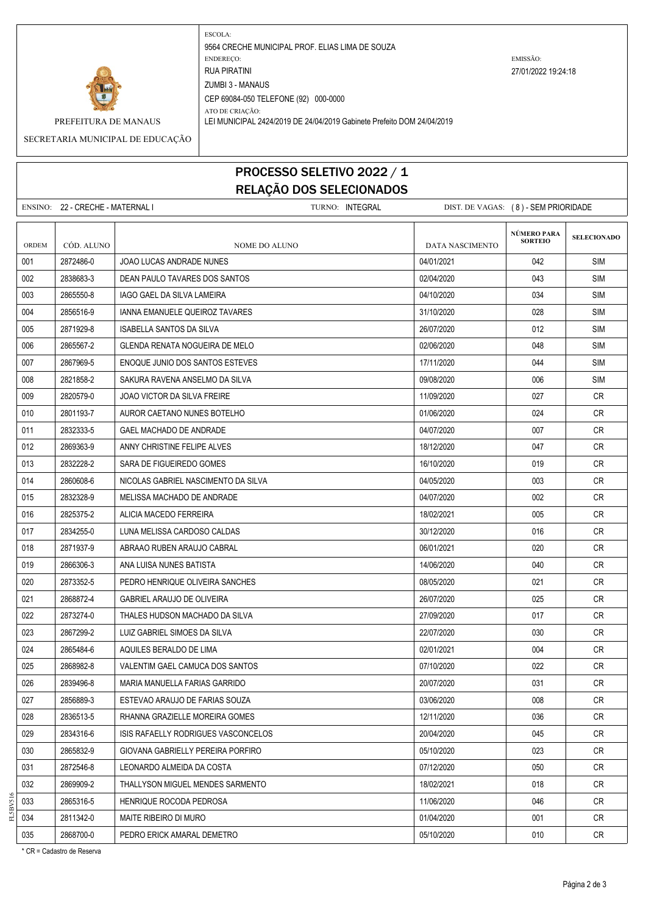

ESCOLA: 9564 CRECHE MUNICIPAL PROF. ELIAS LIMA DE SOUZA ENDEREÇO: EMISSÃO: RUA PIRATINI 27/01/2022 19:24:18 ZUMBI 3 - MANAUS CEP 69084-050 TELEFONE (92) 000-0000 ATO DE CRIAÇÃO:

PREFEITURA DE MANAUS LEI MUNICIPAL 2424/2019 DE 24/04/2019 Gabinete Prefeito DOM 24/04/2019

SECRETARIA MUNICIPAL DE EDUCAÇÃO

## PROCESSO SELETIVO 2022 / 1 RELAÇÃO DOS SELECIONADOS

ENSINO: 22 - CRECHE - MATERNAL I TURNO: INTEGRAL DIST. DE VAGAS: ( 8 ) - SEM PRIORIDADE **SELECIONADO** ORDEM CÓD. ALUNO **NOME DO ALUNO** NOME DO ALUNO DATA NASCIMENTO 001 2872486-0 JOAO LUCAS ANDRADE NUNES 04/01/2021 042 SIM 002 2838683-3 DEAN PAULO TAVARES DOS SANTOS 02/04/2020 043 SIM 003 2865550-8 IAGO GAEL DA SILVA LAMEIRA 04/10/2020 SIM 004 2856516-9 IANNA EMANUELE QUEIROZ TAVARES 31/10/2020 31/10/2020 I 028 SIM 005 2871929-8 ISABELLA SANTOS DA SILVA 26 26/07/2020 26/07/2020 12:012 SIM 006 2865567-2 GLENDA RENATA NOGUEIRA DE MELO 02/06/2020 048 SIM 007 2867969-5 ENOQUE JUNIO DOS SANTOS ESTEVES 1711 1711/2020 17/11/2020 20 044 SIM 008 2821858-2 SAKURA RAVENA ANSELMO DA SILVA 09/09/09/09/09/09/000 006 SIM 009 2820579-0 JOAO VICTOR DA SILVA FREIRE 11/09 11/09/2020 11/09/2020 200 27 CR 010 2801193-7 AUROR CAETANO NUNES BOTELHO 024 CR 011 2832333-5 GAEL MACHADO DE ANDRADE 04/07/2020 007 CR 012 2869363-9 ANNY CHRISTINE FELIPE ALVES NATURAL CONSUMING A LARGE 18/12/2020 NATURAL CRUIS CRUIS CRUIS CRUIS 013 2832228-2 SARA DE FIGUEIREDO GOMES 16/10/2020 019 CR 014 2860608-6 NICOLAS GABRIEL NASCIMENTO DA SILVA 04/05/2020 003 CR 015 2832328-9 MELISSA MACHADO DE ANDRADE 04/07/2020 002 CR 016 2825375-2 ALICIA MACEDO FERREIRA 18/02/2021 18/02/2021 - 18/02/2021 005 CR 017 2834255-0 LUNA MELISSA CARDOSO CALDAS 30/12/2020 016 CR 018 2871937-9 ABRAAO RUBEN ARAUJO CABRAL 06/01/2021 020 CR 019 2866306-3 ANA LUISA NUNES BATISTA 14/06/2020 14/06/2020 040 CR 020 2873352-5 PEDRO HENRIQUE OLIVEIRA SANCHES 08/05/2020 021 CR 021 2868872-4 GABRIEL ARAUJO DE OLIVEIRA 26/07/2020 26/07/2020 26/07/2020 25 CR 022 2873274-0 THALES HUDSON MACHADO DA SILVA 27/09/2020 27/09/2020 127/09 023 2867299-2 LUIZ GABRIEL SIMOES DA SILVA 22/07/2020 030 CR 024 2865484-6 AQUILES BERALDO DE LIMA 02/01/2021 004 CR 025 2868982-8 VALENTIM GAEL CAMUCA DOS SANTOS 07/10/2020 022 CR 026 2839496-8 MARIA MANUELLA FARIAS GARRIDO 20/07/2020 031 CR 027 2856889-3 ESTEVAO ARAUJO DE FARIAS SOUZA 03/06/2020 CR 028 2836513-5 RHANNA GRAZIELLE MOREIRA GOMES 12/11/2020 036 CR 029 2834316-6 ISIS RAFAELLY RODRIGUES VASCONCELOS 20/04/2020 045 CR 030 2865832-9 GIOVANA GABRIELLY PEREIRA PORFIRO 05/10/2020 023 CR 031 2872546-8 LEONARDO ALMEIDA DA COSTA 07/12/2020 050 CR 032 2869909-2 THALLYSON MIGUEL MENDES SARMENTO 18/02/2021 CR 033 2865316-5 HENRIQUE ROCODA PEDROSA 11/06/2020 CR 034 2811342-0 MAITE RIBEIRO DI MURO 01/04/2020 001 CR 035 2868700-0 PEDRO ERICK AMARAL DEMETRO AND CONSUMING RESEARCH 2010 010 CR **NÚMERO PARA SORTEIO**

\* CR = Cadastro de Reserva

FL5BV516